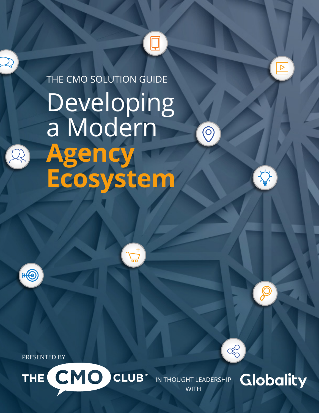# THE CMO SOLUTION GUIDEDeveloping a Modern  $\bigcirc$ **Agency Ecosystem**

 $\Box$ 

 $\sqrt{6}$ 

PRESENTED BY



**WITH** 



 $\ll$ 

 $\boxed{\triangleright}$ 

 $\sum$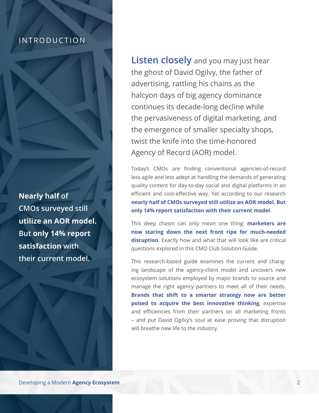#### INTRODUCTION

**Nearly half of CMOs surveyed still utilize an AOR model. But only 14% report satisfaction with their current model.**

**Listen closely** and you may just hear the ghost of David Ogilvy, the father of advertising, rattling his chains as the halcyon days of big agency dominance continues its decade-long decline while the pervasiveness of digital marketing, and the emergence of smaller specialty shops, twist the knife into the time-honored Agency of Record (AOR) model.

Today's CMOs are finding conventional agencies-of-record less agile and less adept at handling the demands of generating quality content for day-to-day social and digital platforms in an efficient and cost-effective way. Yet according to our research **nearly half of CMOs surveyed still utilize an AOR model. But only 14% report satisfaction with their current model**.

This deep chasm can only mean one thing: **marketers are now staring down the next front ripe for much-needed disruption**. Exactly how and what that will look like are critical questions explored in this CMO Club Solution Guide.

This research-based guide examines the current and changing landscape of the agency-client model and uncovers new ecosystem solutions employed by major brands to source and manage the right agency partners to meet all of their needs. **Brands that shift to a smarter strategy now are better poised to acquire the best innovative thinking**, expertise and efficiencies from their partners on all marketing fronts – and put David Ogilvy's soul at ease proving that disruption will breathe new life to the industry.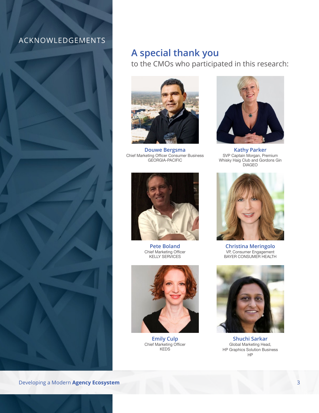### ACKNOWLEDGEMENTS



## **A special thank you**

to the CMOs who participated in this research:



**Douwe Bergsma** Chief Marketing Officer Consumer Business GEORGIA-PACIFIC



**Kathy Parker** SVP Captain Morgan, Premium Whisky Haig Club and Gordons Gin DIAGEO



**Pete Boland** Chief Marketing Officer KELLY SERVICES



**Emily Culp** Chief Marketing Officer KEDS



**Christina Meringolo** VP, Consumer Engagement BAYER CONSUMER HEALTH



**Shuchi Sarkar** Global Marketing Head, HP Graphics Solution Business HP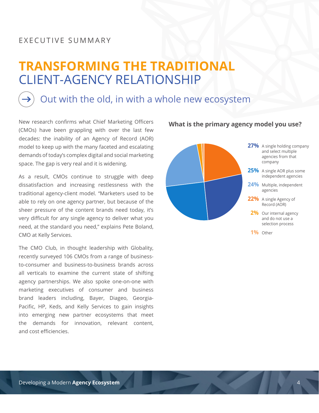#### EXECUTIVE SUMMARY

# **TRANSFORMING THE TRADITIONAL**  CLIENT-AGENCY RELATIONSHIP

## Out with the old, in with a whole new ecosystem

New research confirms what Chief Marketing Officers (CMOs) have been grappling with over the last few decades: the inability of an Agency of Record (AOR) model to keep up with the many faceted and escalating demands of today's complex digital and social marketing space. The gap is very real and it is widening.

As a result, CMOs continue to struggle with deep dissatisfaction and increasing restlessness with the traditional agency-client model. "Marketers used to be able to rely on one agency partner, but because of the sheer pressure of the content brands need today, it's very difficult for any single agency to deliver what you need, at the standard you need," explains Pete Boland, CMO at Kelly Services.

The CMO Club, in thought leadership with Globality, recently surveyed 106 CMOs from a range of businessto-consumer and business-to-business brands across all verticals to examine the current state of shifting agency partnerships. We also spoke one-on-one with marketing executives of consumer and business brand leaders including, Bayer, Diageo, Georgia-Pacific, HP, Keds, and Kelly Services to gain insights into emerging new partner ecosystems that meet the demands for innovation, relevant content, and cost efficiencies.

#### **What is the primary agency model you use?**

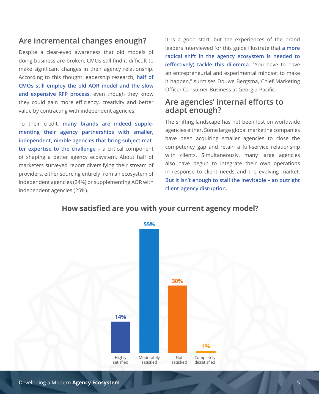### **Are incremental changes enough?**

Despite a clear-eyed awareness that old models of doing business are broken, CMOs still find it difficult to make significant changes in their agency relationship. According to this thought leadership research, **half of CMOs still employ the old AOR model and the slow and expensive RFP process**, even though they know they could gain more efficiency, creativity and better value by contracting with independent agencies.

To their credit, **many brands are indeed supplementing their agency partnerships with smaller, independent, nimble agencies that bring subject matter expertise to the challenge** – a critical component of shaping a better agency ecosystem. About half of marketers surveyed report diversifying their stream of providers, either sourcing entirely from an ecosystem of independent agencies (24%) or supplementing AOR with independent agencies (25%).

It is a good start, but the experiences of the brand leaders interviewed for this guide illustrate that **a more radical shift in the agency ecosystem is needed to (effectively) tackle this dilemma**. "You have to have an entrepreneurial and experimental mindset to make it happen," surmises Douwe Bergsma, Chief Marketing Officer Consumer Business at Georgia-Pacific.

### **Are agencies' internal efforts to adapt enough?**

The shifting landscape has not been lost on worldwide agencies either. Some large global marketing companies have been acquiring smaller agencies to close the competency gap and retain a full-service relationship with clients. Simultaneously, many large agencies also have begun to integrate their own operations in response to client needs and the evolving market. **But it isn't enough to stall the inevitable – an outright client-agency disruption.**



#### **How satisfied are you with your current agency model?**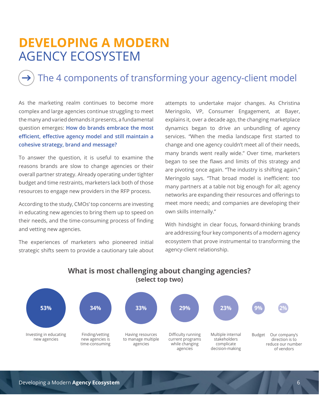# **DEVELOPING A MODERN**  AGENCY ECOSYSTEM

## The 4 components of transforming your agency-client model

As the marketing realm continues to become more complex and large agencies continue struggling to meet the many and varied demands it presents, a fundamental question emerges: **How do brands embrace the most efficient, effective agency model and still maintain a cohesive strategy, brand and message?**

To answer the question, it is useful to examine the reasons brands are slow to change agencies or their overall partner strategy. Already operating under tighter budget and time restraints, marketers lack both of those resources to engage new providers in the RFP process.

According to the study, CMOs' top concerns are investing in educating new agencies to bring them up to speed on their needs, and the time-consuming process of finding and vetting new agencies.

The experiences of marketers who pioneered initial strategic shifts seem to provide a cautionary tale about

attempts to undertake major changes. As Christina Meringolo, VP, Consumer Engagement, at Bayer, explains it, over a decade ago, the changing marketplace dynamics began to drive an unbundling of agency services. "When the media landscape first started to change and one agency couldn't meet all of their needs, many brands went really wide." Over time, marketers began to see the flaws and limits of this strategy and are pivoting once again. "The industry is shifting again," Meringolo says. "That broad model is inefficient: too many partners at a table not big enough for all; agency networks are expanding their resources and offerings to meet more needs; and companies are developing their own skills internally."

With hindsight in clear focus, forward-thinking brands are addressing four key components of a modern agency ecosystem that prove instrumental to transforming the agency-client relationship.



#### **What is most challenging about changing agencies? (select top two)**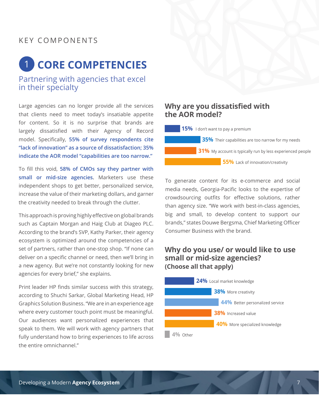### KEY COMPONENTS

# **CORE COMPETENCIES** 1

### Partnering with agencies that excel in their specialty

Large agencies can no longer provide all the services that clients need to meet today's insatiable appetite for content. So it is no surprise that brands are largely dissatisfied with their Agency of Record model. Specifically, **55% of survey respondents cite "lack of innovation" as a source of dissatisfaction; 35% indicate the AOR model "capabilities are too narrow."**

To fill this void, **58% of CMOs say they partner with small or mid-size agencies.** Marketers use these independent shops to get better, personalized service, increase the value of their marketing dollars, and garner the creativity needed to break through the clutter.

This approach is proving highly effective on global brands such as Captain Morgan and Haig Club at Diageo PLC. According to the brand's SVP, Kathy Parker, their agency ecosystem is optimized around the competencies of a set of partners, rather than one-stop shop. "If none can deliver on a specific channel or need, then we'll bring in a new agency. But we're not constantly looking for new agencies for every brief," she explains.

Print leader HP finds similar success with this strategy, according to Shuchi Sarkar, Global Marketing Head, HP Graphics Solution Business. "We are in an experience age where every customer touch point must be meaningful. Our audiences want personalized experiences that speak to them. We will work with agency partners that fully understand how to bring experiences to life across the entire omnichannel."

#### **Why are you dissatisfied with the AOR model?**

**15%** I don't want to pay a premium **35%** Their capabilities are too narrow for my needs **31%** My account is typically run by less experienced people **55%** Lack of innovation/creativity

To generate content for its e-commerce and social media needs, Georgia-Pacific looks to the expertise of crowdsourcing outfits for effective solutions, rather than agency size. "We work with best-in-class agencies, big and small, to develop content to support our brands," states Douwe Bergsma, Chief Marketing Officer Consumer Business with the brand.

#### **Why do you use/ or would like to use small or mid-size agencies? (Choose all that apply)**

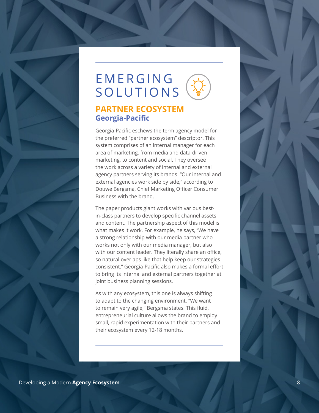# EMERGING SOLUTIONS

### **PARTNER ECOSYSTEM Georgia-Pacific**

Georgia-Pacific eschews the term agency model for the preferred "partner ecosystem" descriptor. This system comprises of an internal manager for each area of marketing, from media and data-driven marketing, to content and social. They oversee the work across a variety of internal and external agency partners serving its brands. "Our internal and external agencies work side by side," according to Douwe Bergsma, Chief Marketing Officer Consumer Business with the brand.

The paper products giant works with various bestin-class partners to develop specific channel assets and content. The partnership aspect of this model is what makes it work. For example, he says, "We have a strong relationship with our media partner who works not only with our media manager, but also with our content leader. They literally share an office, so natural overlaps like that help keep our strategies consistent." Georgia-Pacific also makes a formal effort to bring its internal and external partners together at joint business planning sessions.

As with any ecosystem, this one is always shifting to adapt to the changing environment. "We want to remain very agile," Bergsma states. This fluid, entrepreneurial culture allows the brand to employ small, rapid experimentation with their partners and their ecosystem every 12-18 months.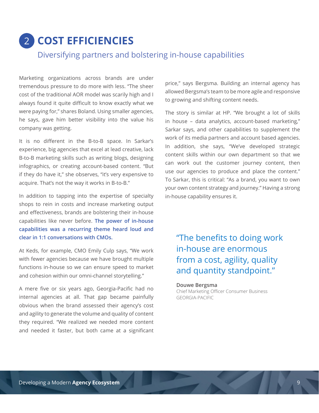# 2 **COST EFFICIENCIES**

### Diversifying partners and bolstering in-house capabilities

Marketing organizations across brands are under tremendous pressure to do more with less. "The sheer cost of the traditional AOR model was scarily high and I always found it quite difficult to know exactly what we were paying for," shares Boland. Using smaller agencies, he says, gave him better visibility into the value his company was getting.

It is no different in the B-to-B space. In Sarkar's experience, big agencies that excel at lead creative, lack B-to-B marketing skills such as writing blogs, designing infographics, or creating account-based content. "But if they do have it," she observes, "it's very expensive to acquire. That's not the way it works in B-to-B."

In addition to tapping into the expertise of specialty shops to rein in costs and increase marketing output and effectiveness, brands are bolstering their in-house capabilities like never before. **The power of in-house capabilities was a recurring theme heard loud and clear in 1:1 conversations with CMOs.**

At Keds, for example, CMO Emily Culp says, "We work with fewer agencies because we have brought multiple functions in-house so we can ensure speed to market and cohesion within our omni-channel storytelling."

A mere five or six years ago, Georgia-Pacific had no internal agencies at all. That gap became painfully obvious when the brand assessed their agency's cost and agility to generate the volume and quality of content they required. "We realized we needed more content and needed it faster, but both came at a significant

price," says Bergsma. Building an internal agency has allowed Bergsma's team to be more agile and responsive to growing and shifting content needs.

The story is similar at HP. "We brought a lot of skills in house – data analytics, account-based marketing," Sarkar says, and other capabilities to supplement the work of its media partners and account based agencies. In addition, she says, "We've developed strategic content skills within our own department so that we can work out the customer journey content, then use our agencies to produce and place the content." To Sarkar, this is critical: "As a brand, you want to own your own content strategy and journey." Having a strong in-house capability ensures it.

## "The benefits to doing work in-house are enormous from a cost, agility, quality and quantity standpoint."

#### **Douwe Bergsma**

Chief Marketing Officer Consumer Business GEORGIA-PACIFIC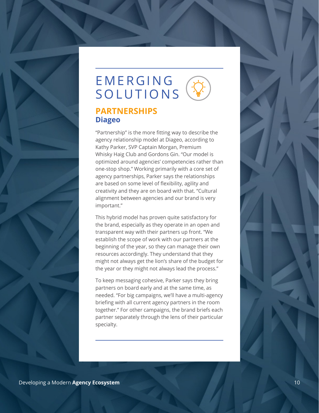# EMERGING SOLUTIONS

## **PARTNERSHIPS Diageo**

"Partnership" is the more fitting way to describe the agency relationship model at Diageo, according to Kathy Parker, SVP Captain Morgan, Premium Whisky Haig Club and Gordons Gin. "Our model is optimized around agencies' competencies rather than one-stop shop." Working primarily with a core set of agency partnerships, Parker says the relationships are based on some level of flexibility, agility and creativity and they are on board with that. "Cultural alignment between agencies and our brand is very important."

This hybrid model has proven quite satisfactory for the brand, especially as they operate in an open and transparent way with their partners up front. "We establish the scope of work with our partners at the beginning of the year, so they can manage their own resources accordingly. They understand that they might not always get the lion's share of the budget for the year or they might not always lead the process."

To keep messaging cohesive, Parker says they bring partners on board early and at the same time, as needed. "For big campaigns, we'll have a multi-agency briefing with all current agency partners in the room together." For other campaigns, the brand briefs each partner separately through the lens of their particular specialty.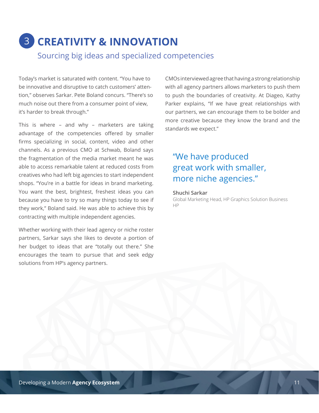# 3 **CREATIVITY & INNOVATION** Sourcing big ideas and specialized competencies

Today's market is saturated with content. "You have to be innovative and disruptive to catch customers' attention," observes Sarkar. Pete Boland concurs. "There's so much noise out there from a consumer point of view, it's harder to break through."

This is where – and why – marketers are taking advantage of the competencies offered by smaller firms specializing in social, content, video and other channels. As a previous CMO at Schwab, Boland says the fragmentation of the media market meant he was able to access remarkable talent at reduced costs from creatives who had left big agencies to start independent shops. "You're in a battle for ideas in brand marketing. You want the best, brightest, freshest ideas you can because you have to try so many things today to see if they work," Boland said. He was able to achieve this by contracting with multiple independent agencies.

Whether working with their lead agency or niche roster partners, Sarkar says she likes to devote a portion of her budget to ideas that are "totally out there." She encourages the team to pursue that and seek edgy solutions from HP's agency partners.

CMOs interviewed agree that having a strong relationship with all agency partners allows marketers to push them to push the boundaries of creativity. At Diageo, Kathy Parker explains, "If we have great relationships with our partners, we can encourage them to be bolder and more creative because they know the brand and the standards we expect."

## "We have produced great work with smaller, more niche agencies."

#### **Shuchi Sarkar**

Global Marketing Head, HP Graphics Solution Business HP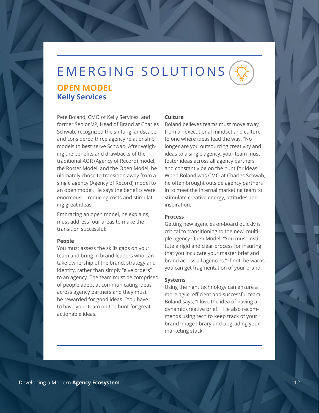# EMERGING SOLUTIONS **OPEN MODEL Kelly Services**

Pete Boland, CMO of Kelly Services, and former Senior VP, Head of Brand at Charles Schwab, recognized the shifting landscape and considered three agency relationship models to best serve Schwab. After weighing the benefits and drawbacks of the traditional AOR (Agency of Record) model, the Roster Model, and the Open Model, he ultimately chose to transition away from a single agency (Agency of Record) model to an open model. He says the benefits were enormous – reducing costs and stimulating great ideas.

Embracing an open model, he explains, must address four areas to make the transition successful:

#### **People**

You must assess the skills gaps on your team and bring in brand leaders who can take ownership of the brand, strategy and identity, rather than simply "give orders" to an agency. The team must be comprised of people adept at communicating ideas across agency partners and they must be rewarded for good ideas. "You have to have your team on the hunt for great, actionable ideas."

#### **Culture**

Boland believes teams must move away from an executional mindset and culture to one where ideas lead the way. "No longer are you outsourcing creativity and ideas to a single agency, your team must foster ideas across all agency partners and constantly be on the hunt for ideas." When Boland was CMO at Charles Schwab, he often brought outside agency partners in to meet the internal marketing team to stimulate creative energy, attitudes and inspiration.

#### **Process**

Getting new agencies on-board quickly is critical to transitioning to the new, multiple-agency Open Model. "You must institute a rigid and clear process for insuring that you inculcate your master brief and brand across all agencies." If not, he warns, you can get fragmentation of your brand.

#### **Systems**

Using the right technology can ensure a more agile, efficient and successful team. Boland says, "I love the idea of having a dynamic creative brief." He also recommends using tech to keep track of your brand image library and upgrading your marketing stack.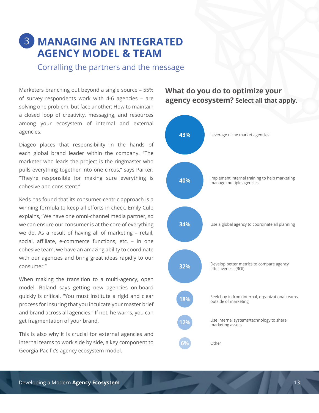## 3 **MANAGING AN INTEGRATED AGENCY MODEL & TEAM**

Corralling the partners and the message

Marketers branching out beyond a single source – 55% of survey respondents work with 4-6 agencies – are solving one problem, but face another: How to maintain a closed loop of creativity, messaging, and resources among your ecosystem of internal and external agencies.

Diageo places that responsibility in the hands of each global brand leader within the company. "The marketer who leads the project is the ringmaster who pulls everything together into one circus," says Parker. "They're responsible for making sure everything is cohesive and consistent."

Keds has found that its consumer-centric approach is a winning formula to keep all efforts in check. Emily Culp explains, "We have one omni-channel media partner, so we can ensure our consumer is at the core of everything we do. As a result of having all of marketing – retail, social, affiliate, e-commerce functions, etc. – in one cohesive team, we have an amazing ability to coordinate with our agencies and bring great ideas rapidly to our consumer."

When making the transition to a multi-agency, open model, Boland says getting new agencies on-board quickly is critical. "You must institute a rigid and clear process for insuring that you inculcate your master brief and brand across all agencies." If not, he warns, you can get fragmentation of your brand.

This is also why it is crucial for external agencies and internal teams to work side by side, a key component to Georgia-Pacific's agency ecosystem model.

### **What do you do to optimize your agency ecosystem? Select all that apply.**

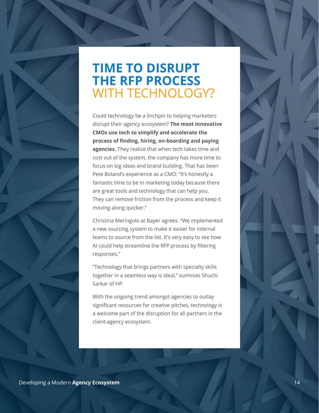# **TIME TO DISRUPT THE RFP PROCESS** WITH TECHNOLOGY?

Could technology be a linchpin to helping marketers disrupt their agency ecosystem? **The most innovative CMOs use tech to simplify and accelerate the process of finding, hiring, on-boarding and paying agencies.** They realize that when tech takes time and cost out of the system, the company has more time to focus on big ideas and brand building. That has been Pete Boland's experience as a CMO: "It's honestly a fantastic time to be in marketing today because there are great tools and technology that can help you. They can remove friction from the process and keep it moving along quicker."

Christina Meringolo at Bayer agrees. "We implemented a new sourcing system to make it easier for internal teams to source from the list. It's very easy to see how AI could help streamline the RFP process by filtering responses."

"Technology that brings partners with specialty skills together in a seamless way is ideal," surmises Shuchi Sarkar of HP.

With the ongoing trend amongst agencies to outlay significant resources for creative pitches, technology is a welcome part of the disruption for all partners in the client-agency ecosystem.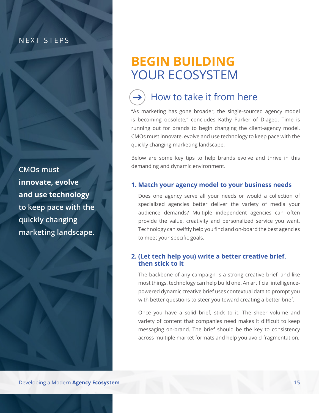### NEXT STEPS

**CMOs must innovate, evolve and use technology to keep pace with the quickly changing marketing landscape.**

# **BEGIN BUILDING**  YOUR ECOSYSTEM



## How to take it from here

"As marketing has gone broader, the single-sourced agency model is becoming obsolete," concludes Kathy Parker of Diageo. Time is running out for brands to begin changing the client-agency model. CMOs must innovate, evolve and use technology to keep pace with the quickly changing marketing landscape.

Below are some key tips to help brands evolve and thrive in this demanding and dynamic environment.

#### **1. Match your agency model to your business needs**

Does one agency serve all your needs or would a collection of specialized agencies better deliver the variety of media your audience demands? Multiple independent agencies can often provide the value, creativity and personalized service you want. Technology can swiftly help you find and on-board the best agencies to meet your specific goals.

#### **2. (Let tech help you) write a better creative brief, then stick to it**

The backbone of any campaign is a strong creative brief, and like most things, technology can help build one. An artificial intelligencepowered dynamic creative brief uses contextual data to prompt you with better questions to steer you toward creating a better brief.

Once you have a solid brief, stick to it. The sheer volume and variety of content that companies need makes it difficult to keep messaging on-brand. The brief should be the key to consistency across multiple market formats and help you avoid fragmentation.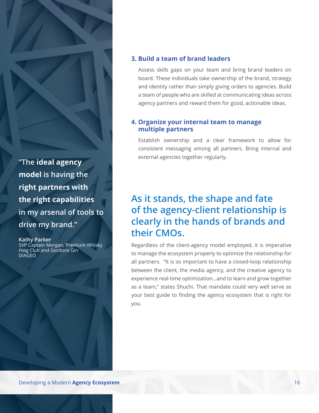**"The ideal agency model is having the right partners with the right capabilities in my arsenal of tools to drive my brand."**

**Kathy Parker** SVP Captain Morgan, Premium Whisky Haig Club and Gordons Gin DIAGEO

#### **3. Build a team of brand leaders**

Assess skills gaps on your team and bring brand leaders on board. These individuals take ownership of the brand, strategy and identity rather than simply giving orders to agencies. Build a team of people who are skilled at communicating ideas across agency partners and reward them for good, actionable ideas.

#### **4. Organize your internal team to manage multiple partners**

Establish ownership and a clear framework to allow for consistent messaging among all partners. Bring internal and external agencies together regularly.

## **As it stands, the shape and fate of the agency-client relationship is clearly in the hands of brands and their CMOs.**

Regardless of the client-agency model employed, it is imperative to manage the ecosystem properly to optimize the relationship for all partners. "It is so important to have a closed-loop relationship between the client, the media agency, and the creative agency to experience real-time optimization…and to learn and grow together as a team," states Shuchi. That mandate could very well serve as your best guide to finding the agency ecosystem that is right for you.